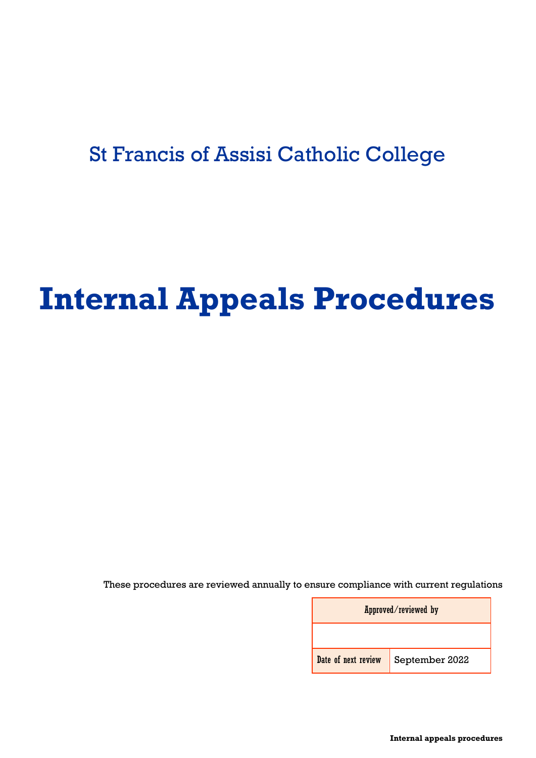# St Francis of Assisi Catholic College

# **Internal Appeals Procedures**

These procedures are reviewed annually to ensure compliance with current regulations

| Approved/reviewed by |                                    |  |  |  |
|----------------------|------------------------------------|--|--|--|
|                      |                                    |  |  |  |
|                      | Date of next review September 2022 |  |  |  |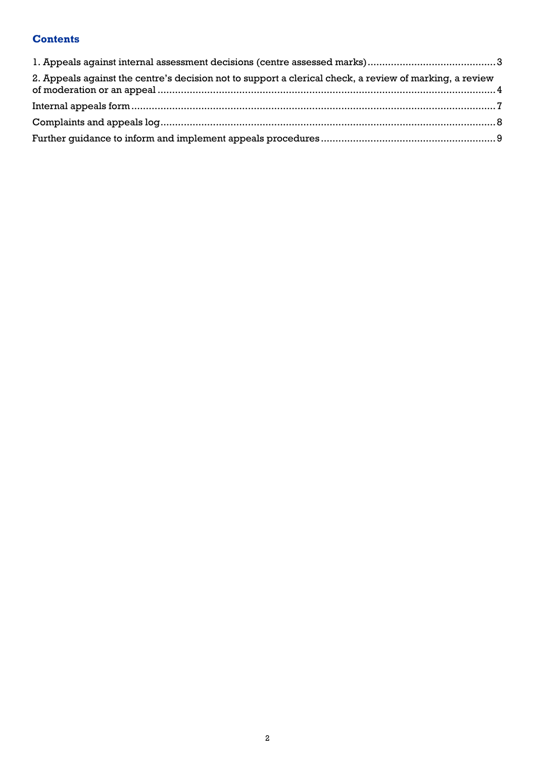# **Contents**

| 2. Appeals against the centre's decision not to support a clerical check, a review of marking, a review |  |
|---------------------------------------------------------------------------------------------------------|--|
|                                                                                                         |  |
|                                                                                                         |  |
|                                                                                                         |  |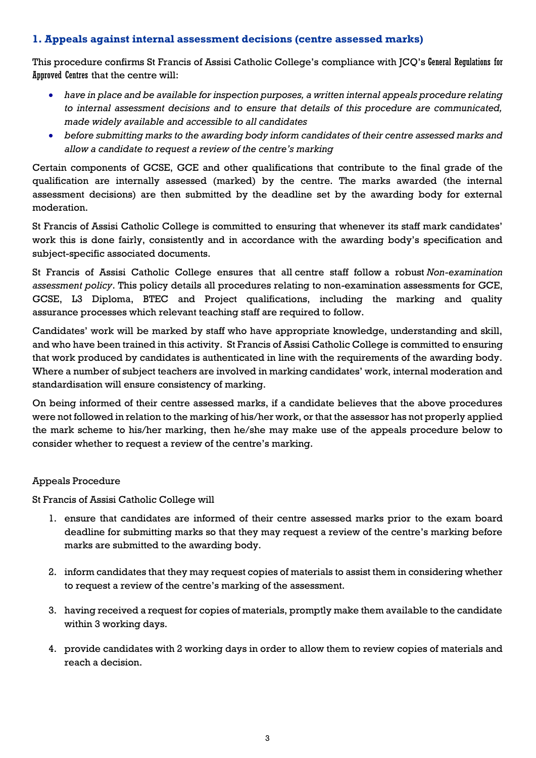# <span id="page-2-0"></span>**1. Appeals against internal assessment decisions (centre assessed marks)**

This procedure confirms St Francis of Assisi Catholic College's compliance with JCQ's General Regulations for Approved Centres that the centre will:

- *have in place and be available for inspection purposes, a written internal appeals procedure relating to internal assessment decisions and to ensure that details of this procedure are communicated, made widely available and accessible to all candidates*
- *before submitting marks to the awarding body inform candidates of their centre assessed marks and allow a candidate to request a review of the centre's marking*

Certain components of GCSE, GCE and other qualifications that contribute to the final grade of the qualification are internally assessed (marked) by the centre. The marks awarded (the internal assessment decisions) are then submitted by the deadline set by the awarding body for external moderation.

St Francis of Assisi Catholic College is committed to ensuring that whenever its staff mark candidates' work this is done fairly, consistently and in accordance with the awarding body's specification and subject-specific associated documents.

St Francis of Assisi Catholic College ensures that all centre staff follow a robust *Non-examination assessment policy*. This policy details all procedures relating to non-examination assessments for GCE, GCSE, L3 Diploma, BTEC and Project qualifications, including the marking and quality assurance processes which relevant teaching staff are required to follow.

Candidates' work will be marked by staff who have appropriate knowledge, understanding and skill, and who have been trained in this activity. St Francis of Assisi Catholic College is committed to ensuring that work produced by candidates is authenticated in line with the requirements of the awarding body. Where a number of subject teachers are involved in marking candidates' work, internal moderation and standardisation will ensure consistency of marking.

On being informed of their centre assessed marks, if a candidate believes that the above procedures were not followed in relation to the marking of his/her work, or that the assessor has not properly applied the mark scheme to his/her marking, then he/she may make use of the appeals procedure below to consider whether to request a review of the centre's marking.

### Appeals Procedure

St Francis of Assisi Catholic College will

- 1. ensure that candidates are informed of their centre assessed marks prior to the exam board deadline for submitting marks so that they may request a review of the centre's marking before marks are submitted to the awarding body.
- 2. inform candidates that they may request copies of materials to assist them in considering whether to request a review of the centre's marking of the assessment.
- 3. having received a request for copies of materials, promptly make them available to the candidate within 3 working days.
- 4. provide candidates with 2 working days in order to allow them to review copies of materials and reach a decision.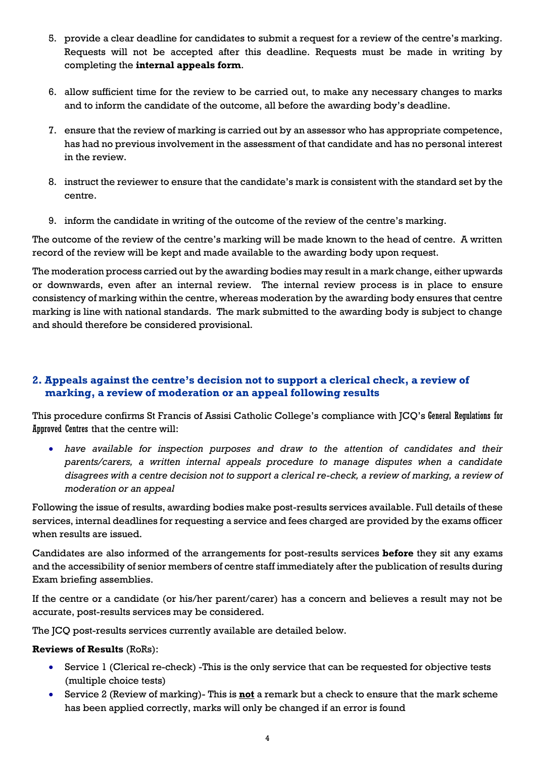- 5. provide a clear deadline for candidates to submit a request for a review of the centre's marking. Requests will not be accepted after this deadline. Requests must be made in writing by completing the **internal appeals form**.
- 6. allow sufficient time for the review to be carried out, to make any necessary changes to marks and to inform the candidate of the outcome, all before the awarding body's deadline.
- 7. ensure that the review of marking is carried out by an assessor who has appropriate competence, has had no previous involvement in the assessment of that candidate and has no personal interest in the review.
- 8. instruct the reviewer to ensure that the candidate's mark is consistent with the standard set by the centre.
- 9. inform the candidate in writing of the outcome of the review of the centre's marking.

The outcome of the review of the centre's marking will be made known to the head of centre. A written record of the review will be kept and made available to the awarding body upon request.

The moderation process carried out by the awarding bodies may result in a mark change, either upwards or downwards, even after an internal review. The internal review process is in place to ensure consistency of marking within the centre, whereas moderation by the awarding body ensures that centre marking is line with national standards. The mark submitted to the awarding body is subject to change and should therefore be considered provisional.

# <span id="page-3-0"></span>**2. Appeals against the centre's decision not to support a clerical check, a review of marking, a review of moderation or an appeal following results**

This procedure confirms St Francis of Assisi Catholic College's compliance with JCQ's General Regulations for Approved Centres that the centre will:

• *have available for inspection purposes and draw to the attention of candidates and their parents/carers, a written internal appeals procedure to manage disputes when a candidate disagrees with a centre decision not to support a clerical re-check, a review of marking, a review of moderation or an appeal*

Following the issue of results, awarding bodies make post-results services available. Full details of these services, internal deadlines for requesting a service and fees charged are provided by the exams officer when results are issued.

Candidates are also informed of the arrangements for post-results services **before** they sit any exams and the accessibility of senior members of centre staff immediately after the publication of results during Exam briefing assemblies.

If the centre or a candidate (or his/her parent/carer) has a concern and believes a result may not be accurate, post-results services may be considered.

The JCQ post-results services currently available are detailed below.

### **Reviews of Results** (RoRs):

- Service 1 (Clerical re-check) -This is the only service that can be requested for objective tests (multiple choice tests)
- Service 2 (Review of marking)- This is **not** a remark but a check to ensure that the mark scheme has been applied correctly, marks will only be changed if an error is found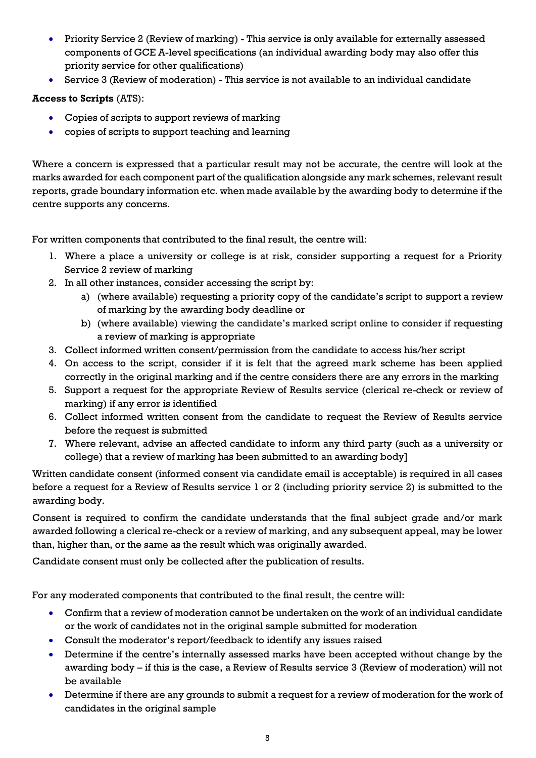- Priority Service 2 (Review of marking) This service is only available for externally assessed components of GCE A-level specifications (an individual awarding body may also offer this priority service for other qualifications)
- Service 3 (Review of moderation) This service is not available to an individual candidate

**Access to Scripts** (ATS):

- Copies of scripts to support reviews of marking
- copies of scripts to support teaching and learning

Where a concern is expressed that a particular result may not be accurate, the centre will look at the marks awarded for each component part of the qualification alongside any mark schemes, relevant result reports, grade boundary information etc. when made available by the awarding body to determine if the centre supports any concerns.

For written components that contributed to the final result, the centre will:

- 1. Where a place a university or college is at risk, consider supporting a request for a Priority Service 2 review of marking
- 2. In all other instances, consider accessing the script by:
	- a) (where available) requesting a priority copy of the candidate's script to support a review of marking by the awarding body deadline or
	- b) (where available) viewing the candidate's marked script online to consider if requesting a review of marking is appropriate
- 3. Collect informed written consent/permission from the candidate to access his/her script
- 4. On access to the script, consider if it is felt that the agreed mark scheme has been applied correctly in the original marking and if the centre considers there are any errors in the marking
- 5. Support a request for the appropriate Review of Results service (clerical re-check or review of marking) if any error is identified
- 6. Collect informed written consent from the candidate to request the Review of Results service before the request is submitted
- 7. Where relevant, advise an affected candidate to inform any third party (such as a university or college) that a review of marking has been submitted to an awarding body]

Written candidate consent (informed consent via candidate email is acceptable) is required in all cases before a request for a Review of Results service 1 or 2 (including priority service 2) is submitted to the awarding body.

Consent is required to confirm the candidate understands that the final subject grade and/or mark awarded following a clerical re-check or a review of marking, and any subsequent appeal, may be lower than, higher than, or the same as the result which was originally awarded.

Candidate consent must only be collected after the publication of results.

For any moderated components that contributed to the final result, the centre will:

- Confirm that a review of moderation cannot be undertaken on the work of an individual candidate or the work of candidates not in the original sample submitted for moderation
- Consult the moderator's report/feedback to identify any issues raised
- Determine if the centre's internally assessed marks have been accepted without change by the awarding body – if this is the case, a Review of Results service 3 (Review of moderation) will not be available
- Determine if there are any grounds to submit a request for a review of moderation for the work of candidates in the original sample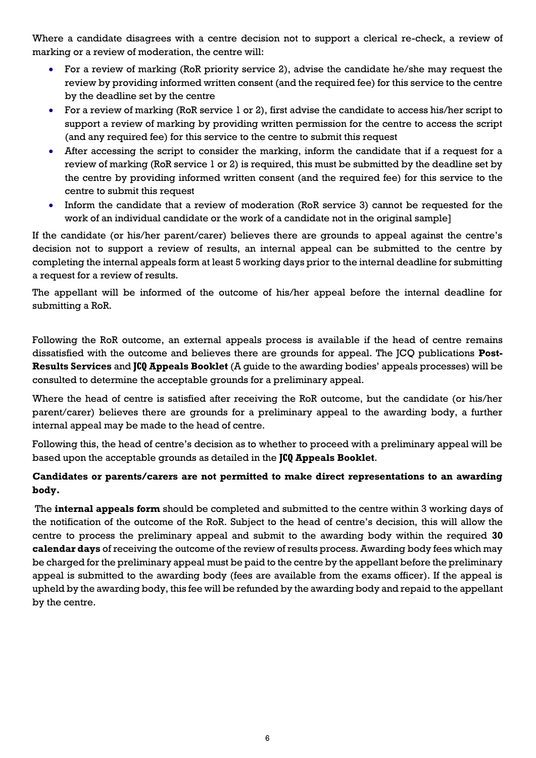Where a candidate disagrees with a centre decision not to support a clerical re-check, a review of marking or a review of moderation, the centre will:

- For a review of marking (RoR priority service 2), advise the candidate he/she may request the review by providing informed written consent (and the required fee) for this service to the centre by the deadline set by the centre
- For a review of marking (RoR service 1 or 2), first advise the candidate to access his/her script to support a review of marking by providing written permission for the centre to access the script (and any required fee) for this service to the centre to submit this request
- After accessing the script to consider the marking, inform the candidate that if a request for a review of marking (RoR service 1 or 2) is required, this must be submitted by the deadline set by the centre by providing informed written consent (and the required fee) for this service to the centre to submit this request
- Inform the candidate that a review of moderation (RoR service 3) cannot be requested for the work of an individual candidate or the work of a candidate not in the original sample]

If the candidate (or his/her parent/carer) believes there are grounds to appeal against the centre's decision not to support a review of results, an internal appeal can be submitted to the centre by completing the internal appeals form at least 5 working days prior to the internal deadline for submitting a request for a review of results.

The appellant will be informed of the outcome of his/her appeal before the internal deadline for submitting a RoR.

Following the RoR outcome, an external appeals process is available if the head of centre remains dissatisfied with the outcome and believes there are grounds for appeal. The JCQ publications **Post-Results Services** and **JCQ Appeals Booklet** (A guide to the awarding bodies' appeals processes) will be consulted to determine the acceptable grounds for a preliminary appeal.

Where the head of centre is satisfied after receiving the RoR outcome, but the candidate (or his/her parent/carer) believes there are grounds for a preliminary appeal to the awarding body, a further internal appeal may be made to the head of centre.

Following this, the head of centre's decision as to whether to proceed with a preliminary appeal will be based upon the acceptable grounds as detailed in the **JCQ Appeals Booklet**.

# **Candidates or parents/carers are not permitted to make direct representations to an awarding body.**

The **internal appeals form** should be completed and submitted to the centre within 3 working days of the notification of the outcome of the RoR. Subject to the head of centre's decision, this will allow the centre to process the preliminary appeal and submit to the awarding body within the required **30 calendar days** of receiving the outcome of the review of results process. Awarding body fees which may be charged for the preliminary appeal must be paid to the centre by the appellant before the preliminary appeal is submitted to the awarding body (fees are available from the exams officer). If the appeal is upheld by the awarding body, this fee will be refunded by the awarding body and repaid to the appellant by the centre.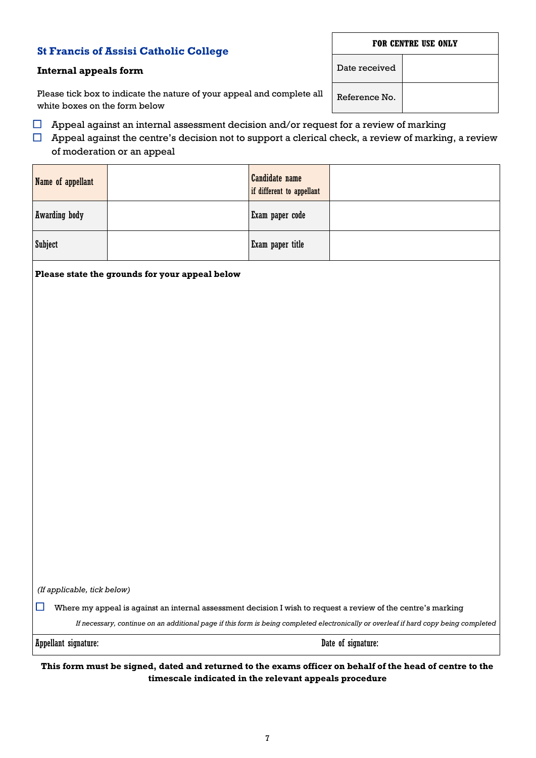7

# **St Francis of Assisi Catholic College**

# <span id="page-6-0"></span>**Internal appeals form**

Please tick box to indicate the nature of your appeal and complete all white boxes on the form below

- $\Box$  Appeal against an internal assessment decision and/or request for a review of marking
- $\Box$  Appeal against the centre's decision not to support a clerical check, a review of marking, a review of moderation or an appeal

| Name of appellant    | <b>Candidate name</b><br>if different to appellant |  |
|----------------------|----------------------------------------------------|--|
| <b>Awarding body</b> | Exam paper code                                    |  |
| <b>Subject</b>       | Exam paper title                                   |  |

**Please state the grounds for your appeal below**

*(If applicable, tick below)*

 $\Box$  Where my appeal is against an internal assessment decision I wish to request a review of the centre's marking

*If necessary, continue on an additional page if this form is being completed electronically or overleaf if hard copy being completed*

Appellant signature: Date of signature:

**This form must be signed, dated and returned to the exams officer on behalf of the head of centre to the timescale indicated in the relevant appeals procedure**

Date received

Reference No.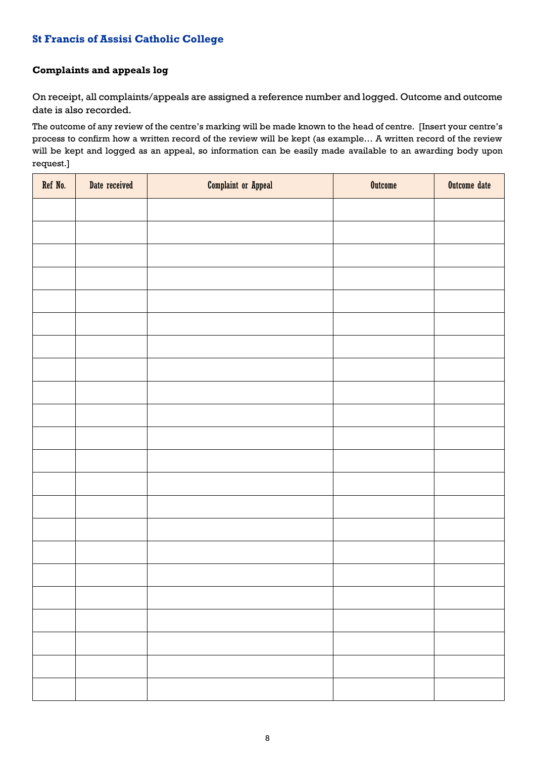# **St Francis of Assisi Catholic College**

# <span id="page-7-0"></span>**Complaints and appeals log**

On receipt, all complaints/appeals are assigned a reference number and logged. Outcome and outcome date is also recorded.

The outcome of any review of the centre's marking will be made known to the head of centre. [Insert your centre's process to confirm how a written record of the review will be kept (as example… A written record of the review will be kept and logged as an appeal, so information can be easily made available to an awarding body upon request.]

| Ref No. | Date received | <b>Complaint or Appeal</b> | <b>Outcome</b> | Outcome date |
|---------|---------------|----------------------------|----------------|--------------|
|         |               |                            |                |              |
|         |               |                            |                |              |
|         |               |                            |                |              |
|         |               |                            |                |              |
|         |               |                            |                |              |
|         |               |                            |                |              |
|         |               |                            |                |              |
|         |               |                            |                |              |
|         |               |                            |                |              |
|         |               |                            |                |              |
|         |               |                            |                |              |
|         |               |                            |                |              |
|         |               |                            |                |              |
|         |               |                            |                |              |
|         |               |                            |                |              |
|         |               |                            |                |              |
|         |               |                            |                |              |
|         |               |                            |                |              |
|         |               |                            |                |              |
|         |               |                            |                |              |
|         |               |                            |                |              |
|         |               |                            |                |              |